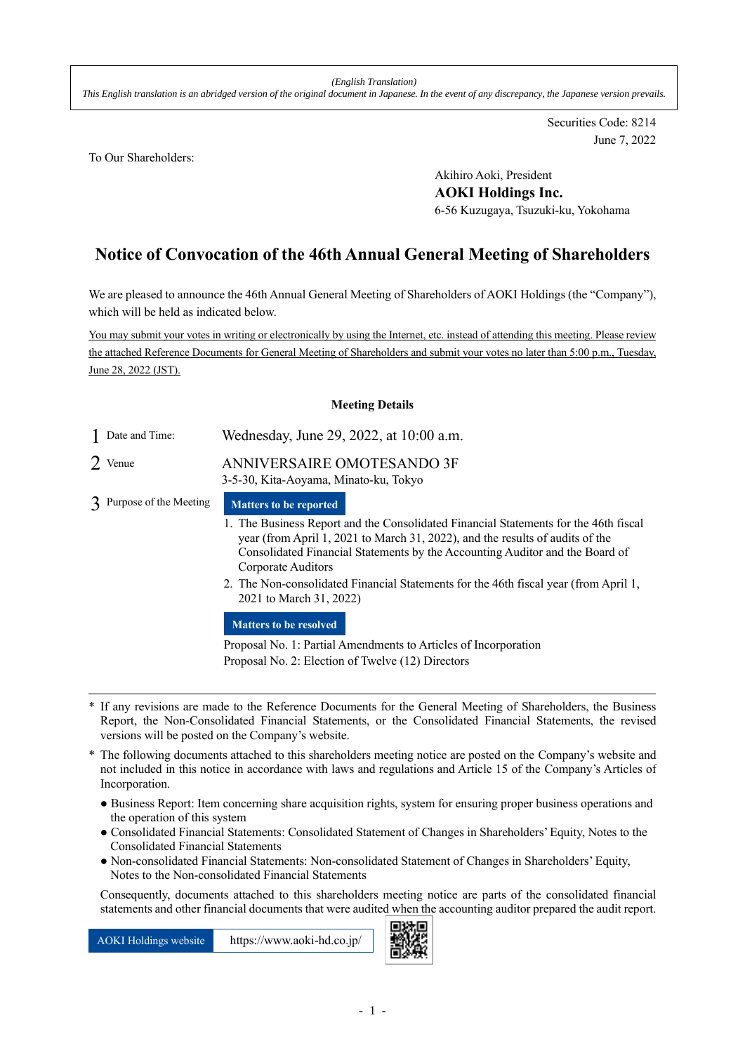*This English translation is an abridged version of the original document in Japanese. In the event of any discrepancy, the Japanese version prevails.*

Securities Code: 8214 June 7, 2022

To Our Shareholders:

Akihiro Aoki, President

**AOKI Holdings Inc.**

6-56 Kuzugaya, Tsuzuki-ku, Yokohama

#### **Notice of Convocation of the 46th Annual General Meeting of Shareholders**

We are pleased to announce the 46th Annual General Meeting of Shareholders of AOKI Holdings (the "Company"), which will be held as indicated below.

You may submit your votes in writing or electronically by using the Internet, etc. instead of attending this meeting. Please review the attached Reference Documents for General Meeting of Shareholders and submit your votes no later than 5:00 p.m., Tuesday, June 28, 2022 (JST).

#### **Meeting Details**

- 1 Date and Time: Wednesday, June 29, 2022, at 10:00 a.m.
- 2 Venue ANNIVERSAIRE OMOTESANDO 3F 3-5-30, Kita-Aoyama, Minato-ku, Tokyo
- 3 Purpose of the Meeting **Matters to be reported**
	- 1. The Business Report and the Consolidated Financial Statements for the 46th fiscal year (from April 1, 2021 to March 31, 2022), and the results of audits of the Consolidated Financial Statements by the Accounting Auditor and the Board of Corporate Auditors
	- 2. The Non-consolidated Financial Statements for the 46th fiscal year (from April 1, 2021 to March 31, 2022)

#### **Matters to be resolved**

Proposal No. 1: Partial Amendments to Articles of Incorporation Proposal No. 2: Election of Twelve (12) Directors

- \* If any revisions are made to the Reference Documents for the General Meeting of Shareholders, the Business Report, the Non-Consolidated Financial Statements, or the Consolidated Financial Statements, the revised versions will be posted on the Company's website.
- \* The following documents attached to this shareholders meeting notice are posted on the Company's website and not included in this notice in accordance with laws and regulations and Article 15 of the Company's Articles of Incorporation.
	- Business Report: Item concerning share acquisition rights, system for ensuring proper business operations and the operation of this system
	- Consolidated Financial Statements: Consolidated Statement of Changes in Shareholders' Equity, Notes to the Consolidated Financial Statements
	- Non-consolidated Financial Statements: Non-consolidated Statement of Changes in Shareholders' Equity, Notes to the Non-consolidated Financial Statements

Consequently, documents attached to this shareholders meeting notice are parts of the consolidated financial statements and other financial documents that were audited when the accounting auditor prepared the audit report.

AOKI Holdings website https://www.aoki-hd.co.jp/

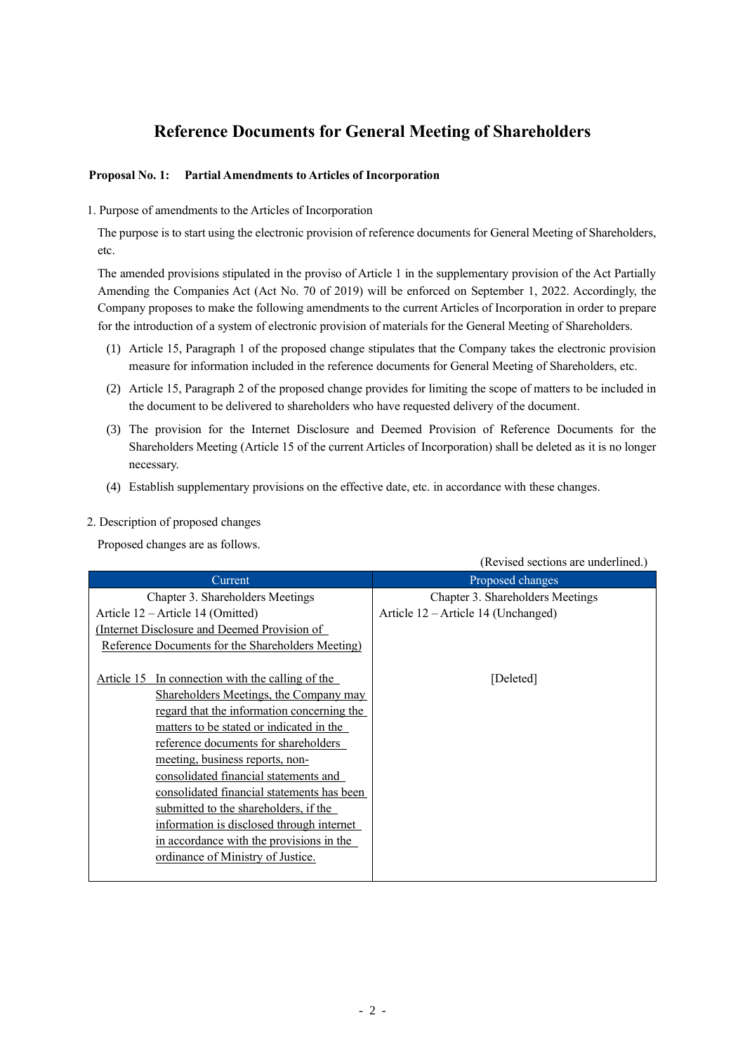#### **Reference Documents for General Meeting of Shareholders**

#### **Proposal No. 1: Partial Amendments to Articles of Incorporation**

1. Purpose of amendments to the Articles of Incorporation

The purpose is to start using the electronic provision of reference documents for General Meeting of Shareholders, etc.

The amended provisions stipulated in the proviso of Article 1 in the supplementary provision of the Act Partially Amending the Companies Act (Act No. 70 of 2019) will be enforced on September 1, 2022. Accordingly, the Company proposes to make the following amendments to the current Articles of Incorporation in order to prepare for the introduction of a system of electronic provision of materials for the General Meeting of Shareholders.

- (1) Article 15, Paragraph 1 of the proposed change stipulates that the Company takes the electronic provision measure for information included in the reference documents for General Meeting of Shareholders, etc.
- (2) Article 15, Paragraph 2 of the proposed change provides for limiting the scope of matters to be included in the document to be delivered to shareholders who have requested delivery of the document.
- (3) The provision for the Internet Disclosure and Deemed Provision of Reference Documents for the Shareholders Meeting (Article 15 of the current Articles of Incorporation) shall be deleted as it is no longer necessary.
- (4) Establish supplementary provisions on the effective date, etc. in accordance with these changes.

#### 2. Description of proposed changes

Proposed changes are as follows.

|                                                     | (Revised sections are underlined.)  |
|-----------------------------------------------------|-------------------------------------|
| Current                                             | Proposed changes                    |
| Chapter 3. Shareholders Meetings                    | Chapter 3. Shareholders Meetings    |
| Article 12 – Article 14 (Omitted)                   | Article 12 – Article 14 (Unchanged) |
| (Internet Disclosure and Deemed Provision of        |                                     |
| Reference Documents for the Shareholders Meeting)   |                                     |
|                                                     |                                     |
| In connection with the calling of the<br>Article 15 | [Deleted]                           |
| Shareholders Meetings, the Company may              |                                     |
| regard that the information concerning the          |                                     |
| matters to be stated or indicated in the            |                                     |
| reference documents for shareholders                |                                     |
| meeting, business reports, non-                     |                                     |
| consolidated financial statements and               |                                     |
| consolidated financial statements has been          |                                     |
| submitted to the shareholders, if the               |                                     |
| information is disclosed through internet           |                                     |
| in accordance with the provisions in the            |                                     |
| ordinance of Ministry of Justice.                   |                                     |
|                                                     |                                     |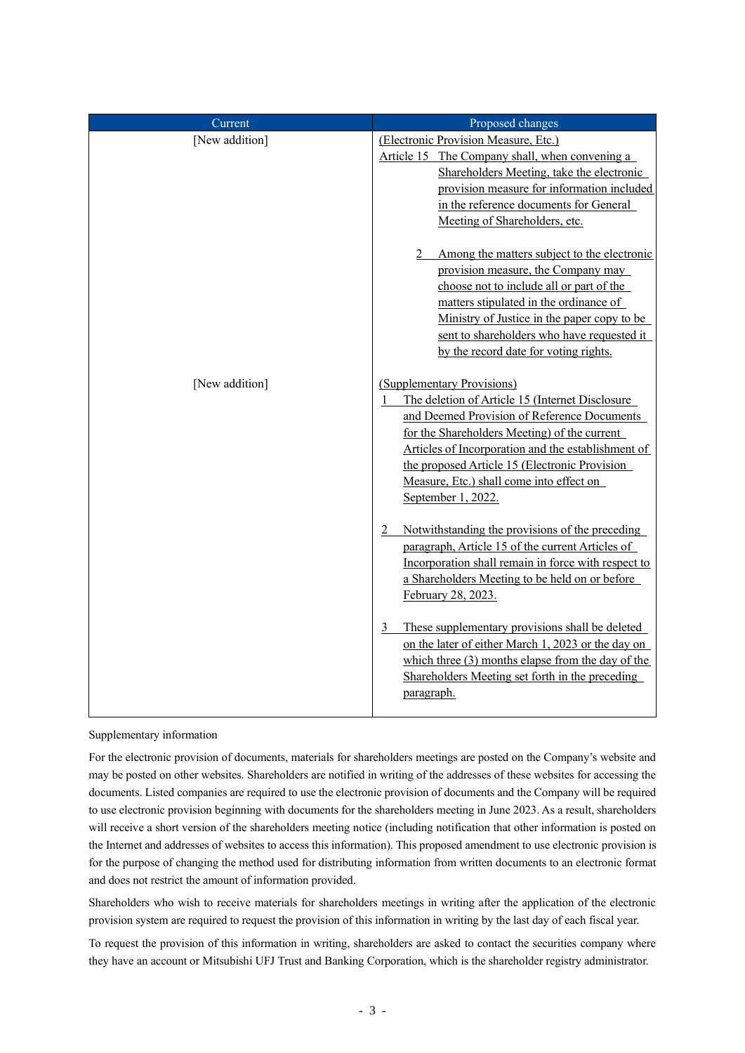| Current        | Proposed changes                                                                                                                                                                                                                                                                                                                                                                                                                                                                                                                                                                                                                                                                                                                                                                                                                            |
|----------------|---------------------------------------------------------------------------------------------------------------------------------------------------------------------------------------------------------------------------------------------------------------------------------------------------------------------------------------------------------------------------------------------------------------------------------------------------------------------------------------------------------------------------------------------------------------------------------------------------------------------------------------------------------------------------------------------------------------------------------------------------------------------------------------------------------------------------------------------|
| [New addition] | (Electronic Provision Measure, Etc.)<br>Article 15 The Company shall, when convening a<br>Shareholders Meeting, take the electronic<br>provision measure for information included<br>in the reference documents for General<br>Meeting of Shareholders, etc.<br>Among the matters subject to the electronic<br>2<br>provision measure, the Company may<br>choose not to include all or part of the<br>matters stipulated in the ordinance of<br>Ministry of Justice in the paper copy to be<br>sent to shareholders who have requested it<br>by the record date for voting rights.                                                                                                                                                                                                                                                          |
| [New addition] | (Supplementary Provisions)<br>The deletion of Article 15 (Internet Disclosure<br>1<br>and Deemed Provision of Reference Documents<br>for the Shareholders Meeting) of the current<br>Articles of Incorporation and the establishment of<br>the proposed Article 15 (Electronic Provision<br>Measure, Etc.) shall come into effect on<br>September 1, 2022.<br>Notwithstanding the provisions of the preceding<br>2<br>paragraph, Article 15 of the current Articles of<br>Incorporation shall remain in force with respect to<br>a Shareholders Meeting to be held on or before<br>February 28, 2023.<br>These supplementary provisions shall be deleted<br>3<br>on the later of either March 1, 2023 or the day on<br>which three $(3)$ months elapse from the day of the<br>Shareholders Meeting set forth in the preceding<br>paragraph. |

#### Supplementary information

For the electronic provision of documents, materials for shareholders meetings are posted on the Company's website and may be posted on other websites. Shareholders are notified in writing of the addresses of these websites for accessing the documents. Listed companies are required to use the electronic provision of documents and the Company will be required to use electronic provision beginning with documents for the shareholders meeting in June 2023. As a result, shareholders will receive a short version of the shareholders meeting notice (including notification that other information is posted on the Internet and addresses of websites to access this information). This proposed amendment to use electronic provision is for the purpose of changing the method used for distributing information from written documents to an electronic format and does not restrict the amount of information provided.

Shareholders who wish to receive materials for shareholders meetings in writing after the application of the electronic provision system are required to request the provision of this information in writing by the last day of each fiscal year.

To request the provision of this information in writing, shareholders are asked to contact the securities company where they have an account or Mitsubishi UFJ Trust and Banking Corporation, which is the shareholder registry administrator.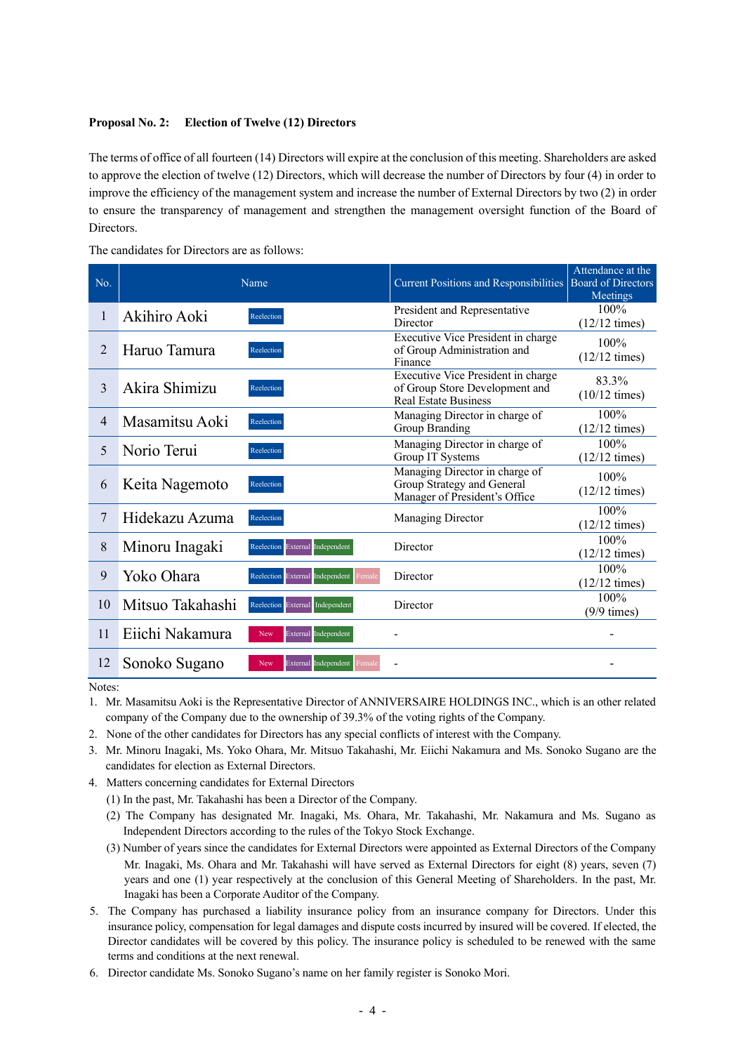#### **Proposal No. 2: Election of Twelve (12) Directors**

The terms of office of all fourteen (14) Directors will expire at the conclusion of this meeting. Shareholders are asked to approve the election of twelve (12) Directors, which will decrease the number of Directors by four (4) in order to improve the efficiency of the management system and increase the number of External Directors by two (2) in order to ensure the transparency of management and strengthen the management oversight function of the Board of Directors.

| No.            |                  | Name                                        | <b>Current Positions and Responsibilities</b>                                                       | Attendance at the<br><b>Board of Directors</b><br>Meetings |
|----------------|------------------|---------------------------------------------|-----------------------------------------------------------------------------------------------------|------------------------------------------------------------|
| 1              | Akihiro Aoki     | Reelection                                  | President and Representative<br>Director                                                            | $100\%$<br>$(12/12 \text{ times})$                         |
| $\overline{2}$ | Haruo Tamura     | Reelection                                  | Executive Vice President in charge<br>of Group Administration and<br>Finance                        | 100%<br>$(12/12 \text{ times})$                            |
| $\overline{3}$ | Akira Shimizu    | Reelection                                  | Executive Vice President in charge<br>of Group Store Development and<br><b>Real Estate Business</b> | 83.3%<br>$(10/12 \text{ times})$                           |
| $\overline{4}$ | Masamitsu Aoki   | Reelection                                  | Managing Director in charge of<br>Group Branding                                                    | $100\%$<br>$(12/12 \text{ times})$                         |
| 5              | Norio Terui      | Reelection                                  | Managing Director in charge of<br>Group IT Systems                                                  | 100%<br>$(12/12 \text{ times})$                            |
| 6              | Keita Nagemoto   | Reelection                                  | Managing Director in charge of<br>Group Strategy and General<br>Manager of President's Office       | 100%<br>$(12/12 \text{ times})$                            |
| 7              | Hidekazu Azuma   | Reelection                                  | Managing Director                                                                                   | 100%<br>$(12/12 \text{ times})$                            |
| 8              | Minoru Inagaki   | Reelection External Independent             | Director                                                                                            | 100%<br>$(12/12 \text{ times})$                            |
| 9              | Yoko Ohara       | Reelection External Independent<br>Female   | Director                                                                                            | 100%<br>$(12/12 \text{ times})$                            |
| 10             | Mitsuo Takahashi | Reelection External Independent             | Director                                                                                            | 100%<br>$(9/9 \times)$                                     |
| 11             | Eiichi Nakamura  | External Independent<br>New                 |                                                                                                     |                                                            |
| 12             | Sonoko Sugano    | External Independent<br>Femal<br><b>New</b> |                                                                                                     |                                                            |

The candidates for Directors are as follows:

Notes:

- 1. Mr. Masamitsu Aoki is the Representative Director of ANNIVERSAIRE HOLDINGS INC., which is an other related company of the Company due to the ownership of 39.3% of the voting rights of the Company.
- 2. None of the other candidates for Directors has any special conflicts of interest with the Company.
- 3. Mr. Minoru Inagaki, Ms. Yoko Ohara, Mr. Mitsuo Takahashi, Mr. Eiichi Nakamura and Ms. Sonoko Sugano are the candidates for election as External Directors.
- 4. Matters concerning candidates for External Directors
	- (1) In the past, Mr. Takahashi has been a Director of the Company.
	- (2) The Company has designated Mr. Inagaki, Ms. Ohara, Mr. Takahashi, Mr. Nakamura and Ms. Sugano as Independent Directors according to the rules of the Tokyo Stock Exchange.
	- (3) Number of years since the candidates for External Directors were appointed as External Directors of the Company Mr. Inagaki, Ms. Ohara and Mr. Takahashi will have served as External Directors for eight (8) years, seven (7) years and one (1) year respectively at the conclusion of this General Meeting of Shareholders. In the past, Mr. Inagaki has been a Corporate Auditor of the Company.
- 5. The Company has purchased a liability insurance policy from an insurance company for Directors. Under this insurance policy, compensation for legal damages and dispute costs incurred by insured will be covered. If elected, the Director candidates will be covered by this policy. The insurance policy is scheduled to be renewed with the same terms and conditions at the next renewal.
- 6. Director candidate Ms. Sonoko Sugano's name on her family register is Sonoko Mori.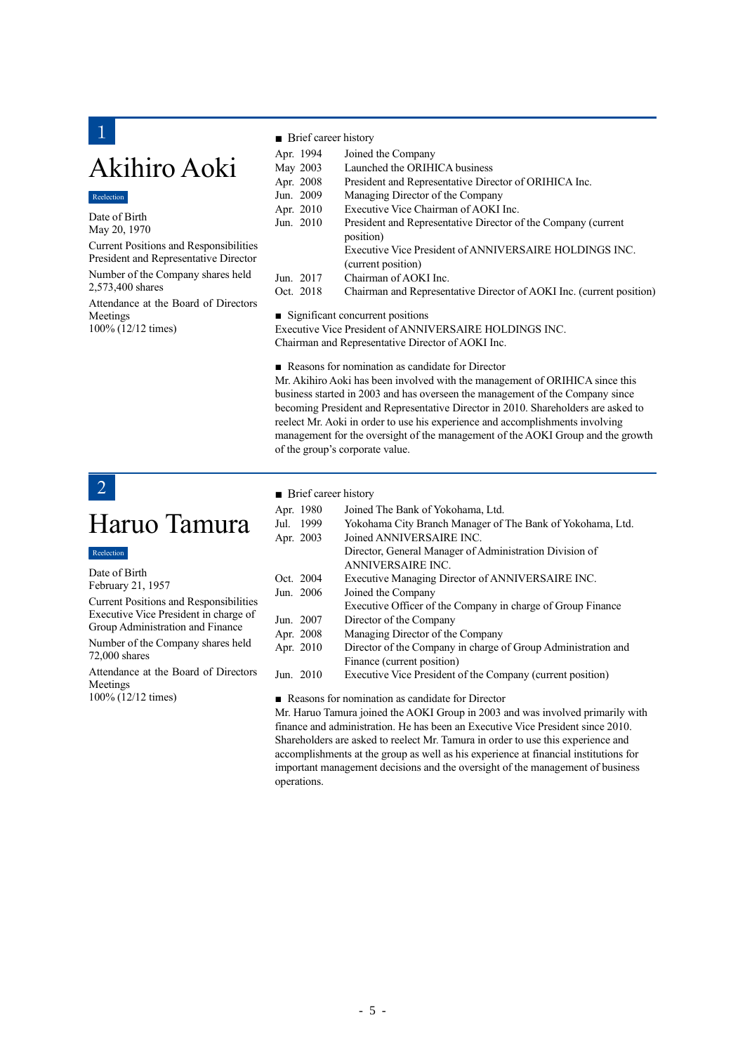

#### Reelection

Date of Birth May 20, 1970

Current Positions and Responsibilities President and Representative Director

Number of the Company shares held 2,573,400 shares

Attendance at the Board of Directors Meetings 100% (12/12 times)

#### ■ Brief career history

| $\blacksquare$ Direct cancer instead $\lambda$ |                                                                              |
|------------------------------------------------|------------------------------------------------------------------------------|
| Apr. 1994                                      | Joined the Company                                                           |
| May 2003                                       | Launched the ORIHICA business                                                |
| Apr. 2008                                      | President and Representative Director of ORIHICA Inc.                        |
| Jun. 2009                                      | Managing Director of the Company                                             |
| Apr. 2010                                      | Executive Vice Chairman of AOKI Inc.                                         |
| Jun. 2010                                      | President and Representative Director of the Company (current<br>position)   |
|                                                | Executive Vice President of ANNIVERSAIRE HOLDINGS INC.<br>(current position) |
| Jun. 2017                                      | Chairman of AOKI Inc.                                                        |
| Oct. 2018                                      | Chairman and Representative Director of AOKI Inc. (current position)         |
|                                                |                                                                              |

■ Significant concurrent positions

Executive Vice President of ANNIVERSAIRE HOLDINGS INC. Chairman and Representative Director of AOKI Inc.

■ Reasons for nomination as candidate for Director

Mr. Akihiro Aoki has been involved with the management of ORIHICA since this business started in 2003 and has overseen the management of the Company since becoming President and Representative Director in 2010. Shareholders are asked to reelect Mr. Aoki in order to use his experience and accomplishments involving management for the oversight of the management of the AOKI Group and the growth of the group's corporate value.

#### 2

## Haruo Tamura

Reelection

Date of Birth February 21, 1957

Current Positions and Responsibilities Executive Vice President in charge of Group Administration and Finance

Number of the Company shares held 72,000 shares

Attendance at the Board of Directors Meetings 100% (12/12 times)

#### ■ Brief career history

| Apr. 1980 | Joined The Bank of Yokohama, Ltd.                             |
|-----------|---------------------------------------------------------------|
| Jul. 1999 | Yokohama City Branch Manager of The Bank of Yokohama, Ltd.    |
| Apr. 2003 | Joined ANNIVERSAIRE INC.                                      |
|           | Director, General Manager of Administration Division of       |
|           | ANNIVERSAIRE INC.                                             |
| Oct. 2004 | Executive Managing Director of ANNIVERSAIRE INC.              |
| Jun. 2006 | Joined the Company                                            |
|           | Executive Officer of the Company in charge of Group Finance   |
| Jun. 2007 | Director of the Company                                       |
| Apr. 2008 | Managing Director of the Company                              |
| Apr. 2010 | Director of the Company in charge of Group Administration and |
|           | Finance (current position)                                    |
| Jun. 2010 | Executive Vice President of the Company (current position)    |
|           |                                                               |

■ Reasons for nomination as candidate for Director

Mr. Haruo Tamura joined the AOKI Group in 2003 and was involved primarily with finance and administration. He has been an Executive Vice President since 2010. Shareholders are asked to reelect Mr. Tamura in order to use this experience and accomplishments at the group as well as his experience at financial institutions for important management decisions and the oversight of the management of business operations.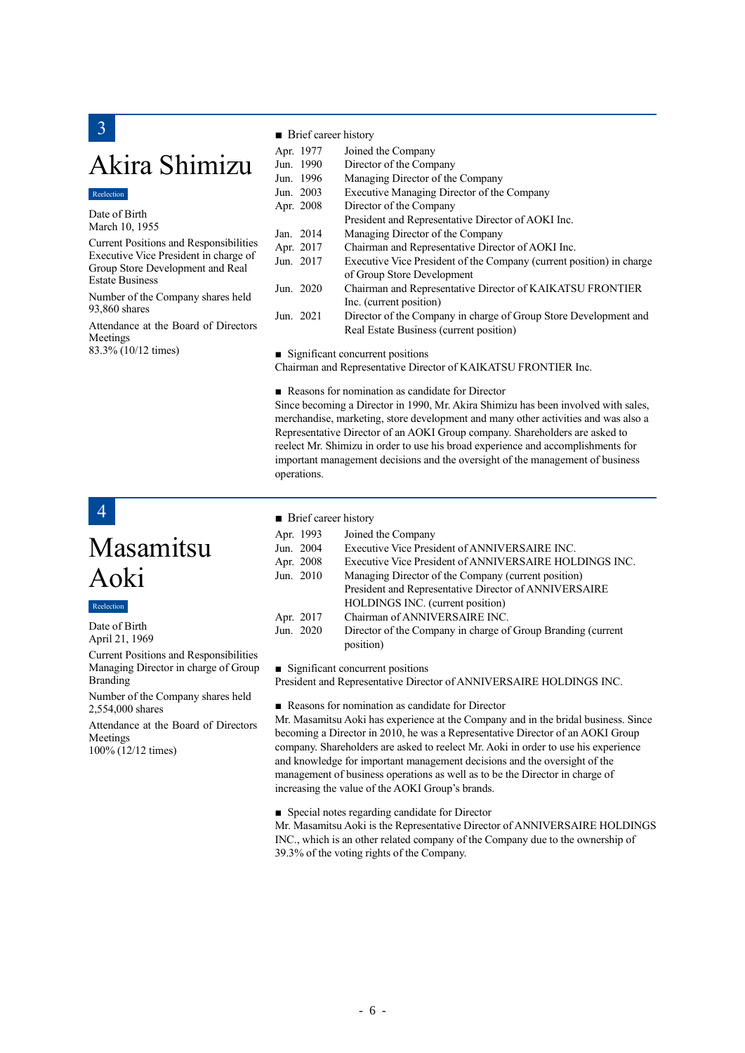### 3 Akira Shimizu

#### Reelection

Date of Birth March 10, 1955

Current Positions and Responsibilities Executive Vice President in charge of Group Store Development and Real Estate Business

Number of the Company shares held 93,860 shares

Attendance at the Board of Directors Meetings 83.3% (10/12 times)

#### ■ Brief career history

| Apr. 1977 | Joined the Company                                                   |
|-----------|----------------------------------------------------------------------|
| Jun. 1990 | Director of the Company                                              |
| Jun. 1996 | Managing Director of the Company                                     |
| Jun. 2003 | Executive Managing Director of the Company                           |
| Apr. 2008 | Director of the Company                                              |
|           | President and Representative Director of AOKI Inc.                   |
| Jan. 2014 | Managing Director of the Company                                     |
| Apr. 2017 | Chairman and Representative Director of AOKI Inc.                    |
| Jun. 2017 | Executive Vice President of the Company (current position) in charge |
|           | of Group Store Development                                           |
| Jun. 2020 | Chairman and Representative Director of KAIKATSU FRONTIER            |
|           | Inc. (current position)                                              |
| Jun. 2021 | Director of the Company in charge of Group Store Development and     |
|           | Real Estate Business (current position)                              |
|           |                                                                      |

■ Significant concurrent positions

Chairman and Representative Director of KAIKATSU FRONTIER Inc.

■ Reasons for nomination as candidate for Director

Since becoming a Director in 1990, Mr. Akira Shimizu has been involved with sales, merchandise, marketing, store development and many other activities and was also a Representative Director of an AOKI Group company. Shareholders are asked to reelect Mr. Shimizu in order to use his broad experience and accomplishments for important management decisions and the oversight of the management of business operations.

4

### Masamitsu Aoki

### Apr. 1993 Joined the Company

■ Brief career history

| Jun. 2004 | Executive Vice President of ANNIVERSAIRE INC.          |
|-----------|--------------------------------------------------------|
| Apr. 2008 | Executive Vice President of ANNIVERSAIRE HOLDINGS INC. |
| Jun. 2010 | Managing Director of the Company (current position)    |
|           | President and Representative Director of ANNIVERSAIRE  |
|           | HOLDINGS INC. (current position)                       |
| Apr. 2017 | Chairman of ANNIVERSAIRE INC.                          |

Jun. 2020 Director of the Company in charge of Group Branding (current position)

■ Significant concurrent positions

President and Representative Director of ANNIVERSAIRE HOLDINGS INC.

■ Reasons for nomination as candidate for Director

Mr. Masamitsu Aoki has experience at the Company and in the bridal business. Since becoming a Director in 2010, he was a Representative Director of an AOKI Group company. Shareholders are asked to reelect Mr. Aoki in order to use his experience and knowledge for important management decisions and the oversight of the management of business operations as well as to be the Director in charge of increasing the value of the AOKI Group's brands.

#### ■ Special notes regarding candidate for Director

Mr. Masamitsu Aoki is the Representative Director of ANNIVERSAIRE HOLDINGS INC., which is an other related company of the Company due to the ownership of 39.3% of the voting rights of the Company.

Reelection Date of Birth April 21, 1969 Current Positions and Responsibilities

Managing Director in charge of Group Branding

Number of the Company shares held 2,554,000 shares

Attendance at the Board of Directors Meetings 100% (12/12 times)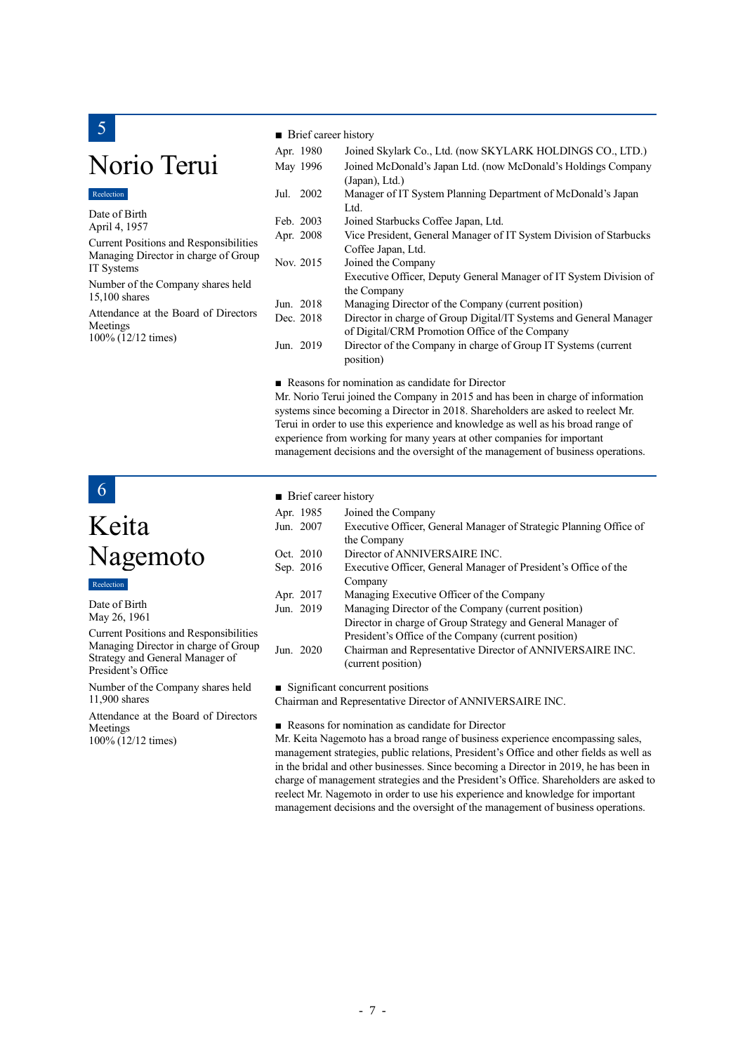# Norio Terui

5

Reelection

#### Date of Birth April 4, 1957 Current Positions and Responsibilities Managing Director in charge of Group IT Systems Number of the Company shares held 15,100 shares Attendance at the Board of Directors Meetings 100% (12/12 times)

#### ■ Brief career history

| Apr. 1980 | Joined Skylark Co., Ltd. (now SKYLARK HOLDINGS CO., LTD.)          |
|-----------|--------------------------------------------------------------------|
| May 1996  | Joined McDonald's Japan Ltd. (now McDonald's Holdings Company      |
|           | $(Japan)$ , Ltd.)                                                  |
| Jul. 2002 | Manager of IT System Planning Department of McDonald's Japan       |
|           | Ltd.                                                               |
| Feb. 2003 | Joined Starbucks Coffee Japan, Ltd.                                |
| Apr. 2008 | Vice President, General Manager of IT System Division of Starbucks |
|           | Coffee Japan, Ltd.                                                 |
| Nov. 2015 | Joined the Company                                                 |
|           | Executive Officer, Deputy General Manager of IT System Division of |
|           | the Company                                                        |
| Jun. 2018 | Managing Director of the Company (current position)                |
| Dec. 2018 | Director in charge of Group Digital/IT Systems and General Manager |
|           | of Digital/CRM Promotion Office of the Company                     |
| Jun. 2019 | Director of the Company in charge of Group IT Systems (current     |
|           | position)                                                          |
|           |                                                                    |

■ Reasons for nomination as candidate for Director

Mr. Norio Terui joined the Company in 2015 and has been in charge of information systems since becoming a Director in 2018. Shareholders are asked to reelect Mr. Terui in order to use this experience and knowledge as well as his broad range of experience from working for many years at other companies for important management decisions and the oversight of the management of business operations.

#### 6

### Keita Nagemoto Reelection

Date of Birth May 26, 1961

Current Positions and Responsibilities Managing Director in charge of Group Strategy and General Manager of President's Office

Number of the Company shares held 11,900 shares

Attendance at the Board of Directors Meetings 100% (12/12 times)

### ■ Brief career history

| Apr. 1985 | Joined the Company                                                 |
|-----------|--------------------------------------------------------------------|
| Jun. 2007 | Executive Officer, General Manager of Strategic Planning Office of |
|           | the Company                                                        |
| Oct. 2010 | Director of ANNIVERSAIRE INC.                                      |
| Sep. 2016 | Executive Officer, General Manager of President's Office of the    |
|           | Company                                                            |
| Apr. 2017 | Managing Executive Officer of the Company                          |
| Jun. 2019 | Managing Director of the Company (current position)                |
|           | Director in charge of Group Strategy and General Manager of        |
|           | President's Office of the Company (current position)               |
| Jun. 2020 | Chairman and Representative Director of ANNIVERSAIRE INC.          |
|           | (current position)                                                 |
|           |                                                                    |

■ Significant concurrent positions

Chairman and Representative Director of ANNIVERSAIRE INC.

■ Reasons for nomination as candidate for Director

Mr. Keita Nagemoto has a broad range of business experience encompassing sales, management strategies, public relations, President's Office and other fields as well as in the bridal and other businesses. Since becoming a Director in 2019, he has been in charge of management strategies and the President's Office. Shareholders are asked to reelect Mr. Nagemoto in order to use his experience and knowledge for important management decisions and the oversight of the management of business operations.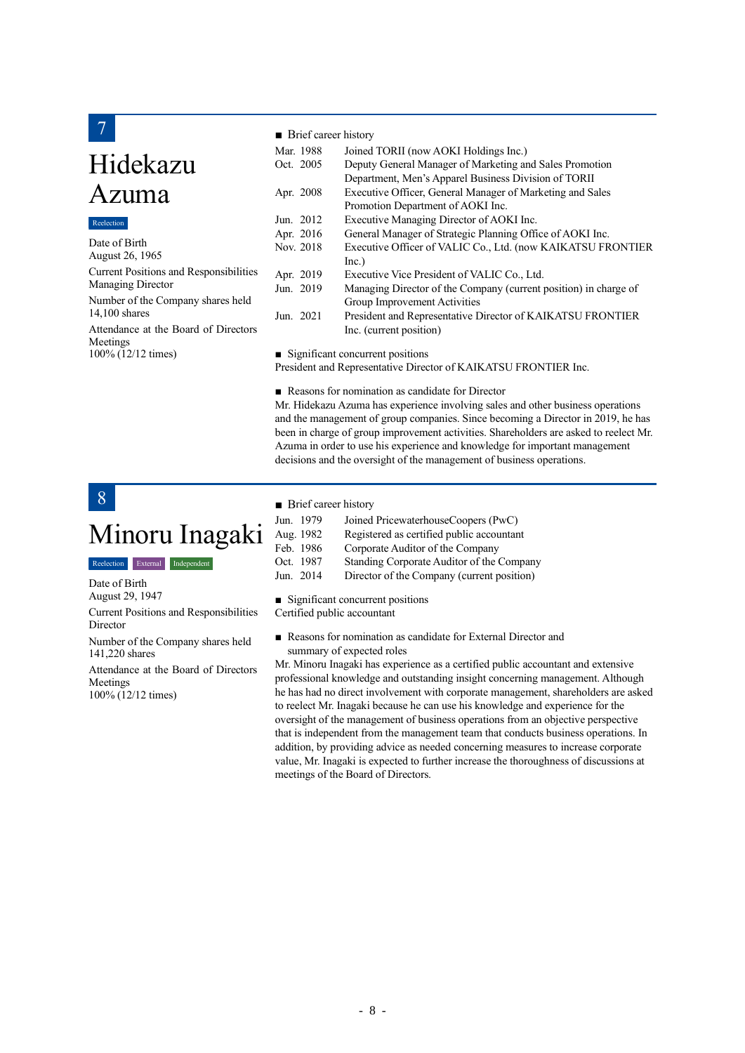### 7 Hidekazu Azuma

#### Reelection

Date of Birth August 26, 1965 Current Positions and Responsibilities Managing Director Number of the Company shares held 14,100 shares Attendance at the Board of Directors Meetings 100% (12/12 times)

#### ■ Brief career history

| Mar. 1988 | Joined TORII (now AOKI Holdings Inc.)                            |
|-----------|------------------------------------------------------------------|
| Oct. 2005 | Deputy General Manager of Marketing and Sales Promotion          |
|           | Department, Men's Apparel Business Division of TORII             |
| Apr. 2008 | Executive Officer, General Manager of Marketing and Sales        |
|           | Promotion Department of AOKI Inc.                                |
| Jun. 2012 | Executive Managing Director of AOKI Inc.                         |
| Apr. 2016 | General Manager of Strategic Planning Office of AOKI Inc.        |
| Nov. 2018 | Executive Officer of VALIC Co., Ltd. (now KAIKATSU FRONTIER      |
|           | Inc.)                                                            |
| Apr. 2019 | Executive Vice President of VALIC Co., Ltd.                      |
| Jun. 2019 | Managing Director of the Company (current position) in charge of |
|           | Group Improvement Activities                                     |
| Jun. 2021 | President and Representative Director of KAIKATSU FRONTIER       |
|           | Inc. (current position)                                          |

■ Significant concurrent positions

President and Representative Director of KAIKATSU FRONTIER Inc.

■ Reasons for nomination as candidate for Director

Mr. Hidekazu Azuma has experience involving sales and other business operations and the management of group companies. Since becoming a Director in 2019, he has been in charge of group improvement activities. Shareholders are asked to reelect Mr. Azuma in order to use his experience and knowledge for important management decisions and the oversight of the management of business operations.

### 8 Minoru Inagaki

Reelection External Independent Date of Birth

August 29, 1947 Current Positions and Responsibilities Director

Number of the Company shares held 141,220 shares

Attendance at the Board of Directors Meetings 100% (12/12 times)

#### ■ Brief career history

| Jun. 1979 | Joined PricewaterhouseCoopers (PwC)        |
|-----------|--------------------------------------------|
|           |                                            |
| Aug. 1982 | Registered as certified public accountant  |
| Feb. 1986 | Corporate Auditor of the Company           |
| Oct. 1987 | Standing Corporate Auditor of the Company  |
| Jun. 2014 | Director of the Company (current position) |
|           |                                            |

■ Significant concurrent positions

Certified public accountant

■ Reasons for nomination as candidate for External Director and summary of expected roles

Mr. Minoru Inagaki has experience as a certified public accountant and extensive professional knowledge and outstanding insight concerning management. Although he has had no direct involvement with corporate management, shareholders are asked to reelect Mr. Inagaki because he can use his knowledge and experience for the oversight of the management of business operations from an objective perspective that is independent from the management team that conducts business operations. In addition, by providing advice as needed concerning measures to increase corporate value, Mr. Inagaki is expected to further increase the thoroughness of discussions at meetings of the Board of Directors.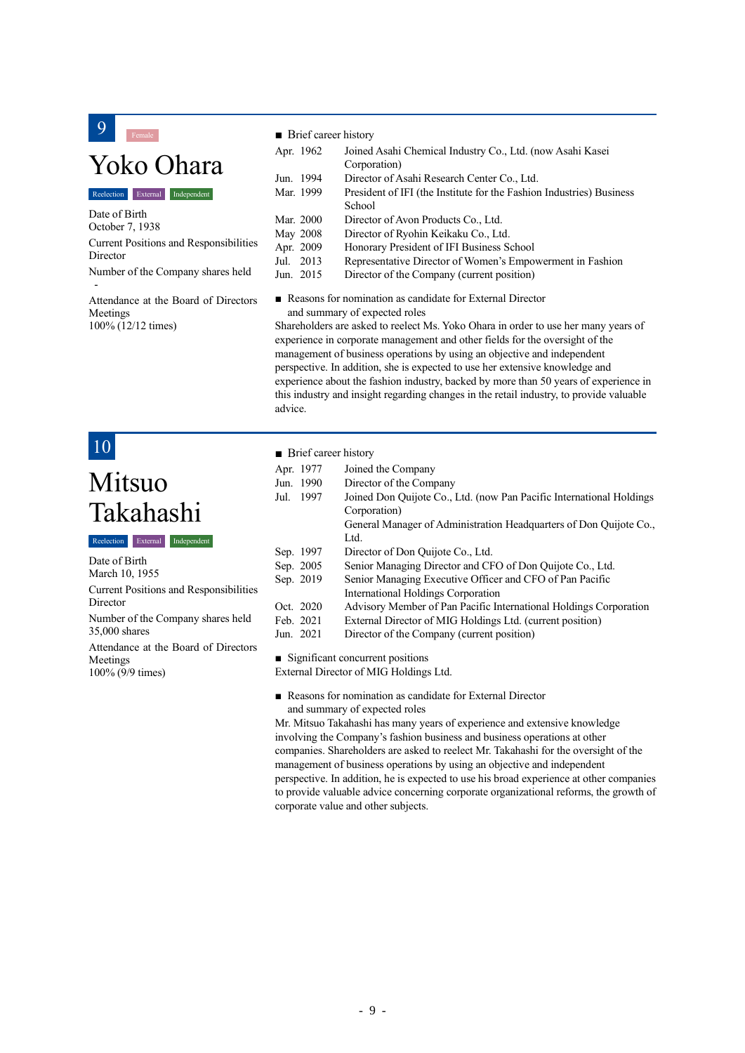

### Yoko Ohara Reelection External Independent

Date of Birth October 7, 1938 Current Positions and Responsibilities Director Number of the Company shares held -

Attendance at the Board of Directors Meetings 100% (12/12 times)

#### ■ Brief career history

| Apr. 1962 | Joined Asahi Chemical Industry Co., Ltd. (now Asahi Kasei            |
|-----------|----------------------------------------------------------------------|
|           | Corporation)                                                         |
| Jun. 1994 | Director of Asahi Research Center Co., Ltd.                          |
| Mar. 1999 | President of IFI (the Institute for the Fashion Industries) Business |
|           | School                                                               |
| Mar. 2000 | Director of Avon Products Co., Ltd.                                  |
| May 2008  | Director of Ryohin Keikaku Co., Ltd.                                 |
| Apr. 2009 | Honorary President of IFI Business School                            |
| Jul. 2013 | Representative Director of Women's Empowerment in Fashion            |
| Jun. 2015 | Director of the Company (current position)                           |
|           |                                                                      |
|           | Reasons for nomination as candidate for External Director            |

and summary of expected roles

Shareholders are asked to reelect Ms. Yoko Ohara in order to use her many years of experience in corporate management and other fields for the oversight of the management of business operations by using an objective and independent perspective. In addition, she is expected to use her extensive knowledge and experience about the fashion industry, backed by more than 50 years of experience in this industry and insight regarding changes in the retail industry, to provide valuable advice.

#### 10

### Mitsuo Takahashi

Reelection External Independent Date of Birth March 10, 1955 Current Positions and Responsibilities Director Number of the Company shares held 35,000 shares

Attendance at the Board of Directors Meetings 100% (9/9 times)

■ Brief career history

| Apr. 1977 | Joined the Company |
|-----------|--------------------|
|           |                    |

- Jun. 1990 Director of the Company
- Jul. 1997 Joined Don Quijote Co., Ltd. (now Pan Pacific International Holdings Corporation)

General Manager of Administration Headquarters of Don Quijote Co., Ltd.

- Sep. 1997 Director of Don Quijote Co., Ltd.
- Sep. 2005 Senior Managing Director and CFO of Don Quijote Co., Ltd.
- Sep. 2019 Senior Managing Executive Officer and CFO of Pan Pacific International Holdings Corporation
- Oct. 2020 Advisory Member of Pan Pacific International Holdings Corporation
- Feb. 2021 External Director of MIG Holdings Ltd. (current position)
- Jun. 2021 Director of the Company (current position)

■ Significant concurrent positions

External Director of MIG Holdings Ltd.

■ Reasons for nomination as candidate for External Director and summary of expected roles

Mr. Mitsuo Takahashi has many years of experience and extensive knowledge involving the Company's fashion business and business operations at other companies. Shareholders are asked to reelect Mr. Takahashi for the oversight of the management of business operations by using an objective and independent perspective. In addition, he is expected to use his broad experience at other companies to provide valuable advice concerning corporate organizational reforms, the growth of corporate value and other subjects.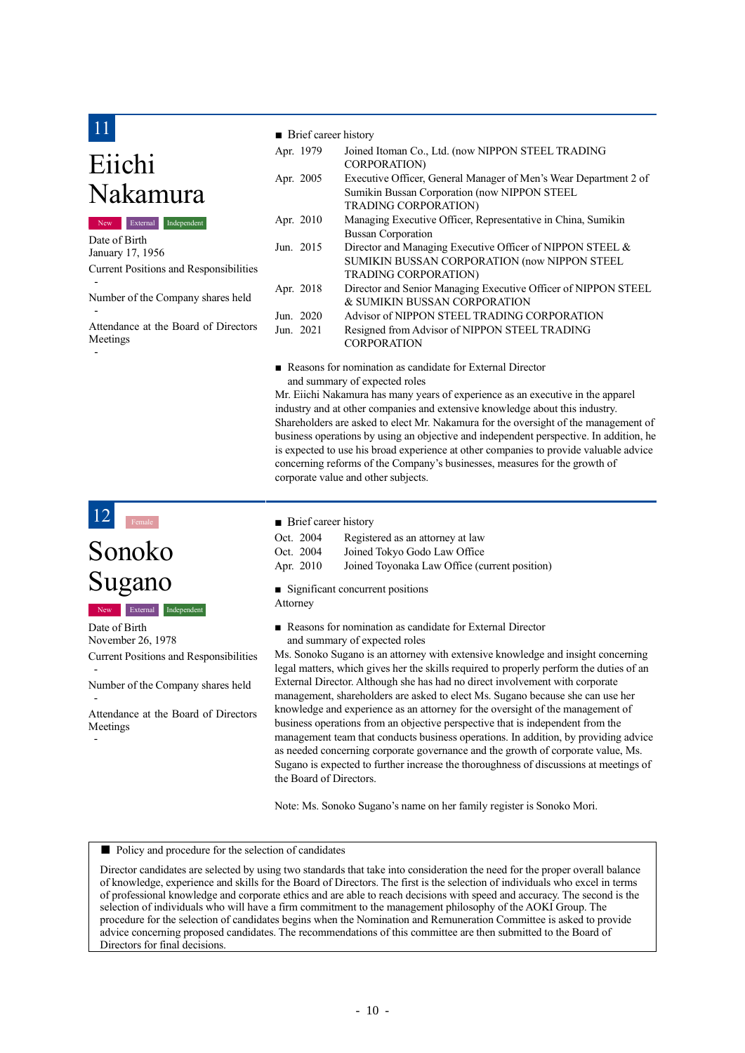### 11 Eiichi Nakamura

#### New External Independent

Date of Birth January 17, 1956 Current Positions and Responsibilities

-

Number of the Company shares held -

Attendance at the Board of Directors Meetings -

#### ■ Brief career history

|           | Apr. 1979 | Joined Itoman Co., Ltd. (now NIPPON STEEL TRADING                |  |  |  |
|-----------|-----------|------------------------------------------------------------------|--|--|--|
|           |           | CORPORATION)                                                     |  |  |  |
|           | Apr. 2005 | Executive Officer, General Manager of Men's Wear Department 2 of |  |  |  |
|           |           | Sumikin Bussan Corporation (now NIPPON STEEL                     |  |  |  |
|           |           | <b>TRADING CORPORATION)</b>                                      |  |  |  |
|           | Apr. 2010 | Managing Executive Officer, Representative in China, Sumikin     |  |  |  |
|           |           | <b>Bussan Corporation</b>                                        |  |  |  |
| Jun. 2015 |           | Director and Managing Executive Officer of NIPPON STEEL &        |  |  |  |
|           |           | SUMIKIN BUSSAN CORPORATION (now NIPPON STEEL                     |  |  |  |
|           |           | <b>TRADING CORPORATION)</b>                                      |  |  |  |
|           | Apr. 2018 | Director and Senior Managing Executive Officer of NIPPON STEEL   |  |  |  |
|           |           | & SUMIKIN BUSSAN CORPORATION                                     |  |  |  |
|           | Jun. 2020 | Advisor of NIPPON STEEL TRADING CORPORATION                      |  |  |  |
|           | Jun. 2021 | Resigned from Advisor of NIPPON STEEL TRADING                    |  |  |  |
|           |           | <b>CORPORATION</b>                                               |  |  |  |

■ Reasons for nomination as candidate for External Director and summary of expected roles

Mr. Eiichi Nakamura has many years of experience as an executive in the apparel industry and at other companies and extensive knowledge about this industry. Shareholders are asked to elect Mr. Nakamura for the oversight of the management of business operations by using an objective and independent perspective. In addition, he is expected to use his broad experience at other companies to provide valuable advice concerning reforms of the Company's businesses, measures for the growth of corporate value and other subjects.

■ Brief career history

Oct. 2004 Registered as an attorney at law Oct. 2004 Joined Tokyo Godo Law Office Apr. 2010 Joined Toyonaka Law Office (current position)

■ Significant concurrent positions

Attorney

■ Reasons for nomination as candidate for External Director and summary of expected roles

Ms. Sonoko Sugano is an attorney with extensive knowledge and insight concerning legal matters, which gives her the skills required to properly perform the duties of an External Director. Although she has had no direct involvement with corporate management, shareholders are asked to elect Ms. Sugano because she can use her knowledge and experience as an attorney for the oversight of the management of business operations from an objective perspective that is independent from the management team that conducts business operations. In addition, by providing advice as needed concerning corporate governance and the growth of corporate value, Ms. Sugano is expected to further increase the thoroughness of discussions at meetings of the Board of Directors.

Note: Ms. Sonoko Sugano's name on her family register is Sonoko Mori.

■ Policy and procedure for the selection of candidates

Director candidates are selected by using two standards that take into consideration the need for the proper overall balance of knowledge, experience and skills for the Board of Directors. The first is the selection of individuals who excel in terms of professional knowledge and corporate ethics and are able to reach decisions with speed and accuracy. The second is the selection of individuals who will have a firm commitment to the management philosophy of the AOKI Group. The procedure for the selection of candidates begins when the Nomination and Remuneration Committee is asked to provide advice concerning proposed candidates. The recommendations of this committee are then submitted to the Board of Directors for final decisions.

### Sonoko Sugano

 $12<sup>°</sup>$ 

New External Independent

Date of Birth November 26, 1978 Current Positions and Responsibilities

- Number of the Company shares held

- Attendance at the Board of Directors Meetings

-